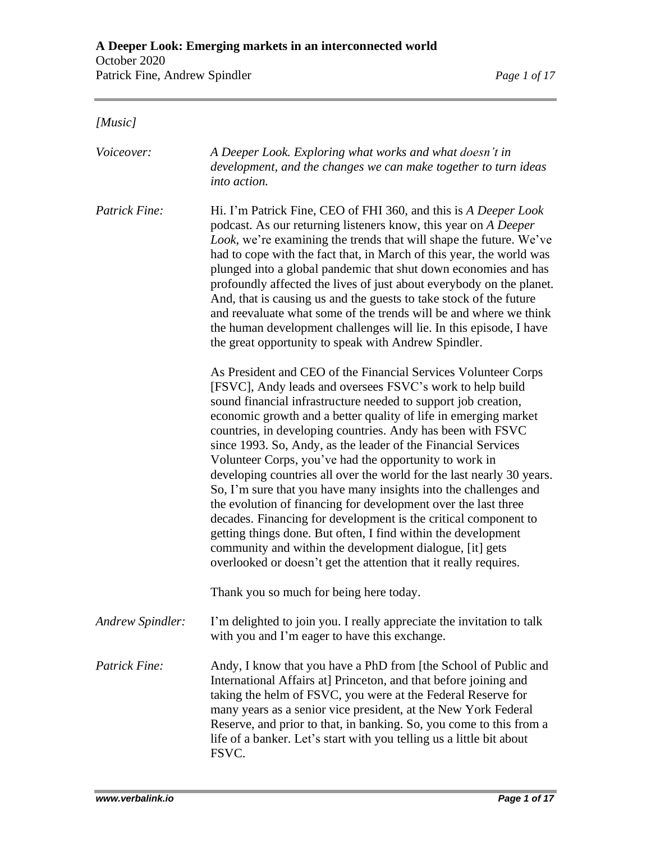## *[Music]*

| <i>Voiceover:</i> | A Deeper Look. Exploring what works and what doesn't in<br>development, and the changes we can make together to turn ideas<br>into action.                                                                                                                                                                                                                                                                                                                                                                                                                                                                                                                                                                                                                                                                                                                                                                                                    |
|-------------------|-----------------------------------------------------------------------------------------------------------------------------------------------------------------------------------------------------------------------------------------------------------------------------------------------------------------------------------------------------------------------------------------------------------------------------------------------------------------------------------------------------------------------------------------------------------------------------------------------------------------------------------------------------------------------------------------------------------------------------------------------------------------------------------------------------------------------------------------------------------------------------------------------------------------------------------------------|
| Patrick Fine:     | Hi. I'm Patrick Fine, CEO of FHI 360, and this is A Deeper Look<br>podcast. As our returning listeners know, this year on A Deeper<br>Look, we're examining the trends that will shape the future. We've<br>had to cope with the fact that, in March of this year, the world was<br>plunged into a global pandemic that shut down economies and has<br>profoundly affected the lives of just about everybody on the planet.<br>And, that is causing us and the guests to take stock of the future<br>and reevaluate what some of the trends will be and where we think<br>the human development challenges will lie. In this episode, I have<br>the great opportunity to speak with Andrew Spindler.                                                                                                                                                                                                                                          |
|                   | As President and CEO of the Financial Services Volunteer Corps<br>[FSVC], Andy leads and oversees FSVC's work to help build<br>sound financial infrastructure needed to support job creation,<br>economic growth and a better quality of life in emerging market<br>countries, in developing countries. Andy has been with FSVC<br>since 1993. So, Andy, as the leader of the Financial Services<br>Volunteer Corps, you've had the opportunity to work in<br>developing countries all over the world for the last nearly 30 years.<br>So, I'm sure that you have many insights into the challenges and<br>the evolution of financing for development over the last three<br>decades. Financing for development is the critical component to<br>getting things done. But often, I find within the development<br>community and within the development dialogue, [it] gets<br>overlooked or doesn't get the attention that it really requires. |
|                   | Thank you so much for being here today.                                                                                                                                                                                                                                                                                                                                                                                                                                                                                                                                                                                                                                                                                                                                                                                                                                                                                                       |
| Andrew Spindler:  | I'm delighted to join you. I really appreciate the invitation to talk<br>with you and I'm eager to have this exchange.                                                                                                                                                                                                                                                                                                                                                                                                                                                                                                                                                                                                                                                                                                                                                                                                                        |
| Patrick Fine:     | Andy, I know that you have a PhD from [the School of Public and<br>International Affairs at] Princeton, and that before joining and<br>taking the helm of FSVC, you were at the Federal Reserve for<br>many years as a senior vice president, at the New York Federal<br>Reserve, and prior to that, in banking. So, you come to this from a<br>life of a banker. Let's start with you telling us a little bit about<br>FSVC.                                                                                                                                                                                                                                                                                                                                                                                                                                                                                                                 |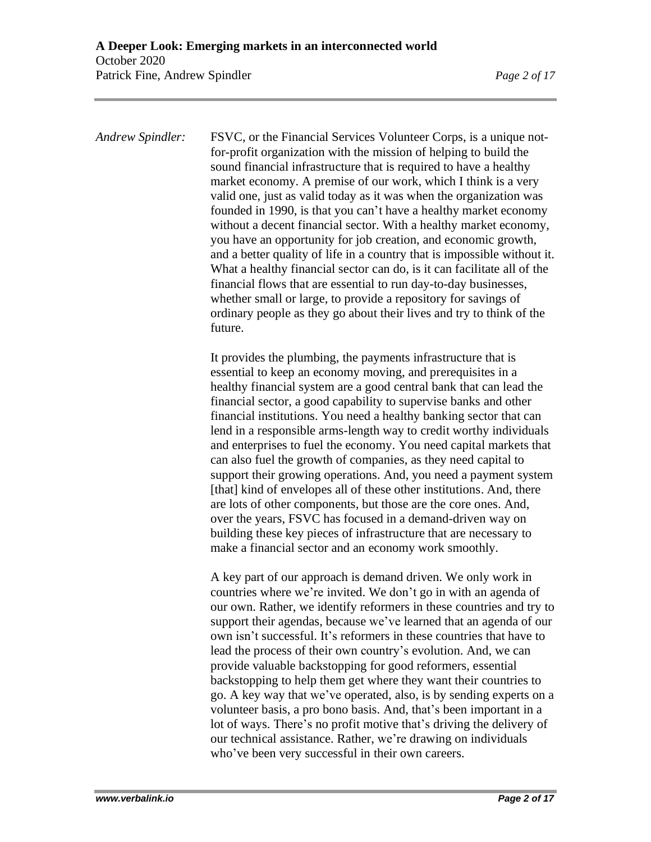*Andrew Spindler:* FSVC, or the Financial Services Volunteer Corps, is a unique notfor-profit organization with the mission of helping to build the sound financial infrastructure that is required to have a healthy market economy. A premise of our work, which I think is a very valid one, just as valid today as it was when the organization was founded in 1990, is that you can't have a healthy market economy without a decent financial sector. With a healthy market economy, you have an opportunity for job creation, and economic growth, and a better quality of life in a country that is impossible without it. What a healthy financial sector can do, is it can facilitate all of the financial flows that are essential to run day-to-day businesses, whether small or large, to provide a repository for savings of ordinary people as they go about their lives and try to think of the future.

> It provides the plumbing, the payments infrastructure that is essential to keep an economy moving, and prerequisites in a healthy financial system are a good central bank that can lead the financial sector, a good capability to supervise banks and other financial institutions. You need a healthy banking sector that can lend in a responsible arms-length way to credit worthy individuals and enterprises to fuel the economy. You need capital markets that can also fuel the growth of companies, as they need capital to support their growing operations. And, you need a payment system [that] kind of envelopes all of these other institutions. And, there are lots of other components, but those are the core ones. And, over the years, FSVC has focused in a demand-driven way on building these key pieces of infrastructure that are necessary to make a financial sector and an economy work smoothly.

> A key part of our approach is demand driven. We only work in countries where we're invited. We don't go in with an agenda of our own. Rather, we identify reformers in these countries and try to support their agendas, because we've learned that an agenda of our own isn't successful. It's reformers in these countries that have to lead the process of their own country's evolution. And, we can provide valuable backstopping for good reformers, essential backstopping to help them get where they want their countries to go. A key way that we've operated, also, is by sending experts on a volunteer basis, a pro bono basis. And, that's been important in a lot of ways. There's no profit motive that's driving the delivery of our technical assistance. Rather, we're drawing on individuals who've been very successful in their own careers.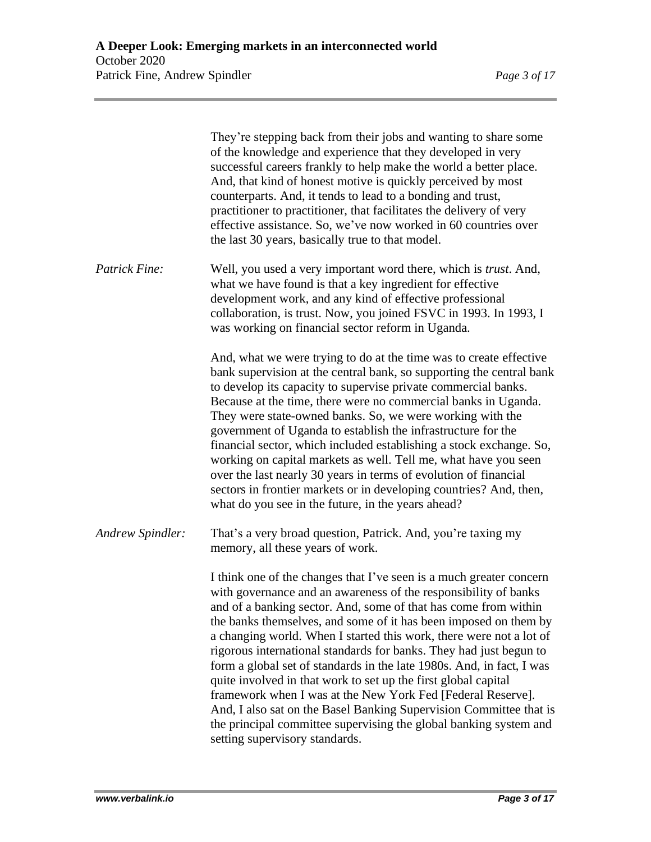|                  | They're stepping back from their jobs and wanting to share some<br>of the knowledge and experience that they developed in very<br>successful careers frankly to help make the world a better place.<br>And, that kind of honest motive is quickly perceived by most<br>counterparts. And, it tends to lead to a bonding and trust,<br>practitioner to practitioner, that facilitates the delivery of very<br>effective assistance. So, we've now worked in 60 countries over<br>the last 30 years, basically true to that model.                                                                                                                                                                                                                                                                                  |
|------------------|-------------------------------------------------------------------------------------------------------------------------------------------------------------------------------------------------------------------------------------------------------------------------------------------------------------------------------------------------------------------------------------------------------------------------------------------------------------------------------------------------------------------------------------------------------------------------------------------------------------------------------------------------------------------------------------------------------------------------------------------------------------------------------------------------------------------|
| Patrick Fine:    | Well, you used a very important word there, which is <i>trust</i> . And,<br>what we have found is that a key ingredient for effective<br>development work, and any kind of effective professional<br>collaboration, is trust. Now, you joined FSVC in 1993. In 1993, I<br>was working on financial sector reform in Uganda.                                                                                                                                                                                                                                                                                                                                                                                                                                                                                       |
|                  | And, what we were trying to do at the time was to create effective<br>bank supervision at the central bank, so supporting the central bank<br>to develop its capacity to supervise private commercial banks.<br>Because at the time, there were no commercial banks in Uganda.<br>They were state-owned banks. So, we were working with the<br>government of Uganda to establish the infrastructure for the<br>financial sector, which included establishing a stock exchange. So,<br>working on capital markets as well. Tell me, what have you seen<br>over the last nearly 30 years in terms of evolution of financial<br>sectors in frontier markets or in developing countries? And, then,<br>what do you see in the future, in the years ahead?                                                             |
| Andrew Spindler: | That's a very broad question, Patrick. And, you're taxing my<br>memory, all these years of work.                                                                                                                                                                                                                                                                                                                                                                                                                                                                                                                                                                                                                                                                                                                  |
|                  | I think one of the changes that I've seen is a much greater concern<br>with governance and an awareness of the responsibility of banks<br>and of a banking sector. And, some of that has come from within<br>the banks themselves, and some of it has been imposed on them by<br>a changing world. When I started this work, there were not a lot of<br>rigorous international standards for banks. They had just begun to<br>form a global set of standards in the late 1980s. And, in fact, I was<br>quite involved in that work to set up the first global capital<br>framework when I was at the New York Fed [Federal Reserve].<br>And, I also sat on the Basel Banking Supervision Committee that is<br>the principal committee supervising the global banking system and<br>setting supervisory standards. |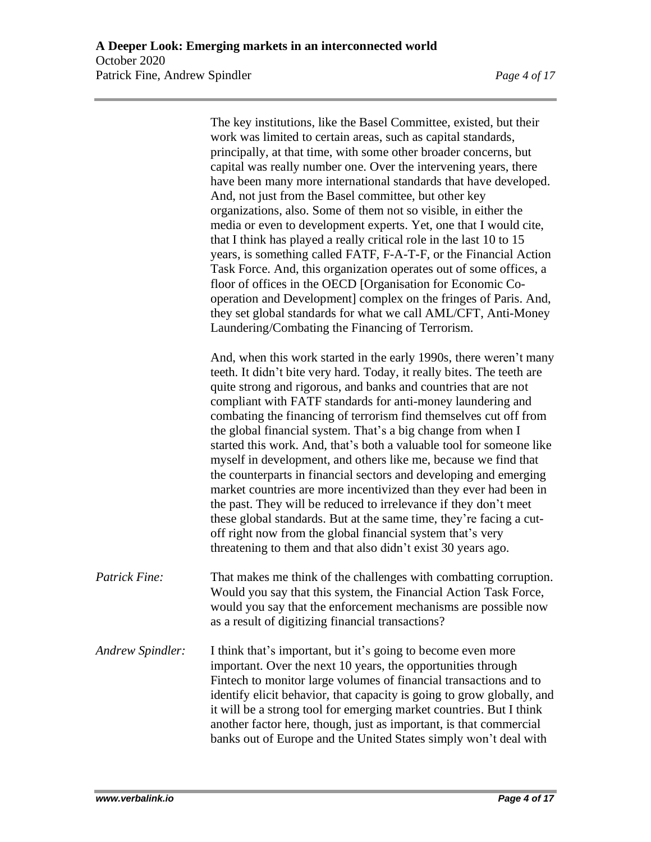The key institutions, like the Basel Committee, existed, but their work was limited to certain areas, such as capital standards, principally, at that time, with some other broader concerns, but capital was really number one. Over the intervening years, there have been many more international standards that have developed. And, not just from the Basel committee, but other key organizations, also. Some of them not so visible, in either the media or even to development experts. Yet, one that I would cite, that I think has played a really critical role in the last 10 to 15 years, is something called FATF, F-A-T-F, or the Financial Action Task Force. And, this organization operates out of some offices, a floor of offices in the OECD [Organisation for Economic Cooperation and Development] complex on the fringes of Paris. And, they set global standards for what we call AML/CFT, Anti-Money Laundering/Combating the Financing of Terrorism. And, when this work started in the early 1990s, there weren't many teeth. It didn't bite very hard. Today, it really bites. The teeth are quite strong and rigorous, and banks and countries that are not compliant with FATF standards for anti-money laundering and combating the financing of terrorism find themselves cut off from the global financial system. That's a big change from when I started this work. And, that's both a valuable tool for someone like myself in development, and others like me, because we find that the counterparts in financial sectors and developing and emerging market countries are more incentivized than they ever had been in the past. They will be reduced to irrelevance if they don't meet these global standards. But at the same time, they're facing a cutoff right now from the global financial system that's very threatening to them and that also didn't exist 30 years ago. *Patrick Fine:* That makes me think of the challenges with combatting corruption. Would you say that this system, the Financial Action Task Force, would you say that the enforcement mechanisms are possible now as a result of digitizing financial transactions? *Andrew Spindler:* I think that's important, but it's going to become even more important. Over the next 10 years, the opportunities through Fintech to monitor large volumes of financial transactions and to identify elicit behavior, that capacity is going to grow globally, and it will be a strong tool for emerging market countries. But I think another factor here, though, just as important, is that commercial banks out of Europe and the United States simply won't deal with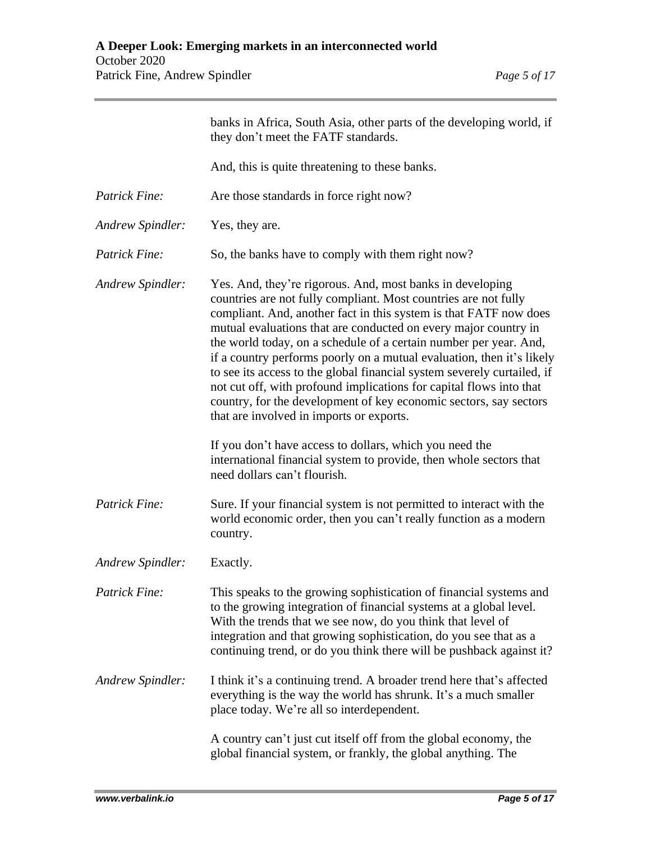|                      | banks in Africa, South Asia, other parts of the developing world, if<br>they don't meet the FATF standards.                                                                                                                                                                                                                                                                                                                                                                                                                                                                                                                                                                           |
|----------------------|---------------------------------------------------------------------------------------------------------------------------------------------------------------------------------------------------------------------------------------------------------------------------------------------------------------------------------------------------------------------------------------------------------------------------------------------------------------------------------------------------------------------------------------------------------------------------------------------------------------------------------------------------------------------------------------|
|                      | And, this is quite threatening to these banks.                                                                                                                                                                                                                                                                                                                                                                                                                                                                                                                                                                                                                                        |
| Patrick Fine:        | Are those standards in force right now?                                                                                                                                                                                                                                                                                                                                                                                                                                                                                                                                                                                                                                               |
| Andrew Spindler:     | Yes, they are.                                                                                                                                                                                                                                                                                                                                                                                                                                                                                                                                                                                                                                                                        |
| Patrick Fine:        | So, the banks have to comply with them right now?                                                                                                                                                                                                                                                                                                                                                                                                                                                                                                                                                                                                                                     |
| Andrew Spindler:     | Yes. And, they're rigorous. And, most banks in developing<br>countries are not fully compliant. Most countries are not fully<br>compliant. And, another fact in this system is that FATF now does<br>mutual evaluations that are conducted on every major country in<br>the world today, on a schedule of a certain number per year. And,<br>if a country performs poorly on a mutual evaluation, then it's likely<br>to see its access to the global financial system severely curtailed, if<br>not cut off, with profound implications for capital flows into that<br>country, for the development of key economic sectors, say sectors<br>that are involved in imports or exports. |
|                      | If you don't have access to dollars, which you need the<br>international financial system to provide, then whole sectors that<br>need dollars can't flourish.                                                                                                                                                                                                                                                                                                                                                                                                                                                                                                                         |
| Patrick Fine:        | Sure. If your financial system is not permitted to interact with the<br>world economic order, then you can't really function as a modern<br>country.                                                                                                                                                                                                                                                                                                                                                                                                                                                                                                                                  |
| Andrew Spindler:     | Exactly.                                                                                                                                                                                                                                                                                                                                                                                                                                                                                                                                                                                                                                                                              |
| <b>Patrick Fine:</b> | This speaks to the growing sophistication of financial systems and<br>to the growing integration of financial systems at a global level.<br>With the trends that we see now, do you think that level of<br>integration and that growing sophistication, do you see that as a<br>continuing trend, or do you think there will be pushback against it?                                                                                                                                                                                                                                                                                                                                  |
| Andrew Spindler:     | I think it's a continuing trend. A broader trend here that's affected<br>everything is the way the world has shrunk. It's a much smaller<br>place today. We're all so interdependent.                                                                                                                                                                                                                                                                                                                                                                                                                                                                                                 |
|                      | A country can't just cut itself off from the global economy, the<br>global financial system, or frankly, the global anything. The                                                                                                                                                                                                                                                                                                                                                                                                                                                                                                                                                     |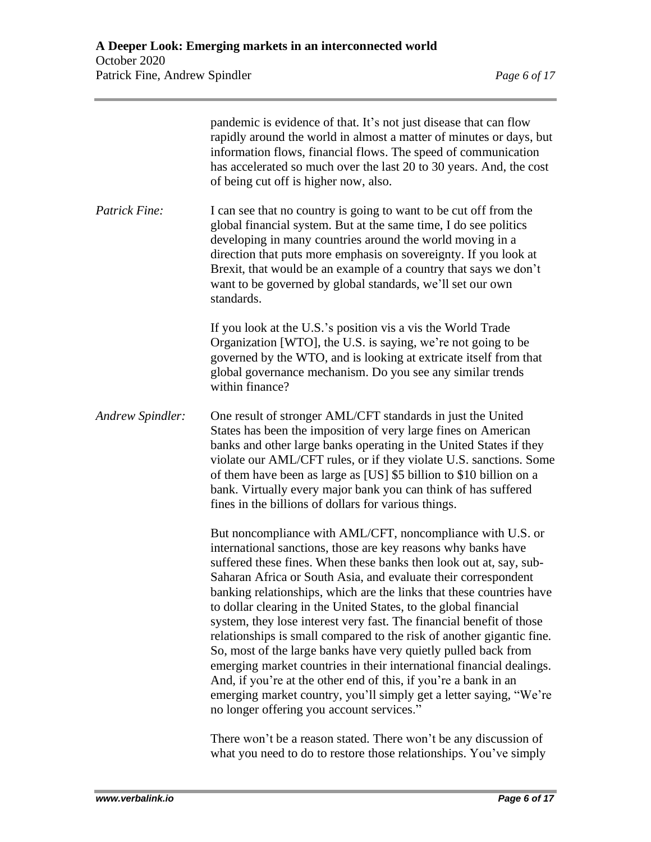| Page 6 of |
|-----------|
|           |

|                      | pandemic is evidence of that. It's not just disease that can flow<br>rapidly around the world in almost a matter of minutes or days, but<br>information flows, financial flows. The speed of communication<br>has accelerated so much over the last 20 to 30 years. And, the cost<br>of being cut off is higher now, also.                                                                                                                                                                                                                                                                                                                                                                                                                                                                                                                                                                       |
|----------------------|--------------------------------------------------------------------------------------------------------------------------------------------------------------------------------------------------------------------------------------------------------------------------------------------------------------------------------------------------------------------------------------------------------------------------------------------------------------------------------------------------------------------------------------------------------------------------------------------------------------------------------------------------------------------------------------------------------------------------------------------------------------------------------------------------------------------------------------------------------------------------------------------------|
| <b>Patrick Fine:</b> | I can see that no country is going to want to be cut off from the<br>global financial system. But at the same time, I do see politics<br>developing in many countries around the world moving in a<br>direction that puts more emphasis on sovereignty. If you look at<br>Brexit, that would be an example of a country that says we don't<br>want to be governed by global standards, we'll set our own<br>standards.                                                                                                                                                                                                                                                                                                                                                                                                                                                                           |
|                      | If you look at the U.S.'s position vis a vis the World Trade<br>Organization [WTO], the U.S. is saying, we're not going to be<br>governed by the WTO, and is looking at extricate itself from that<br>global governance mechanism. Do you see any similar trends<br>within finance?                                                                                                                                                                                                                                                                                                                                                                                                                                                                                                                                                                                                              |
| Andrew Spindler:     | One result of stronger AML/CFT standards in just the United<br>States has been the imposition of very large fines on American<br>banks and other large banks operating in the United States if they<br>violate our AML/CFT rules, or if they violate U.S. sanctions. Some<br>of them have been as large as [US] \$5 billion to \$10 billion on a<br>bank. Virtually every major bank you can think of has suffered<br>fines in the billions of dollars for various things.                                                                                                                                                                                                                                                                                                                                                                                                                       |
|                      | But noncompliance with AML/CFT, noncompliance with U.S. or<br>international sanctions, those are key reasons why banks have<br>suffered these fines. When these banks then look out at, say, sub-<br>Saharan Africa or South Asia, and evaluate their correspondent<br>banking relationships, which are the links that these countries have<br>to dollar clearing in the United States, to the global financial<br>system, they lose interest very fast. The financial benefit of those<br>relationships is small compared to the risk of another gigantic fine.<br>So, most of the large banks have very quietly pulled back from<br>emerging market countries in their international financial dealings.<br>And, if you're at the other end of this, if you're a bank in an<br>emerging market country, you'll simply get a letter saying, "We're<br>no longer offering you account services." |
|                      | There won't be a reason stated. There won't be any discussion of                                                                                                                                                                                                                                                                                                                                                                                                                                                                                                                                                                                                                                                                                                                                                                                                                                 |

what you need to do to restore those relationships. You've simply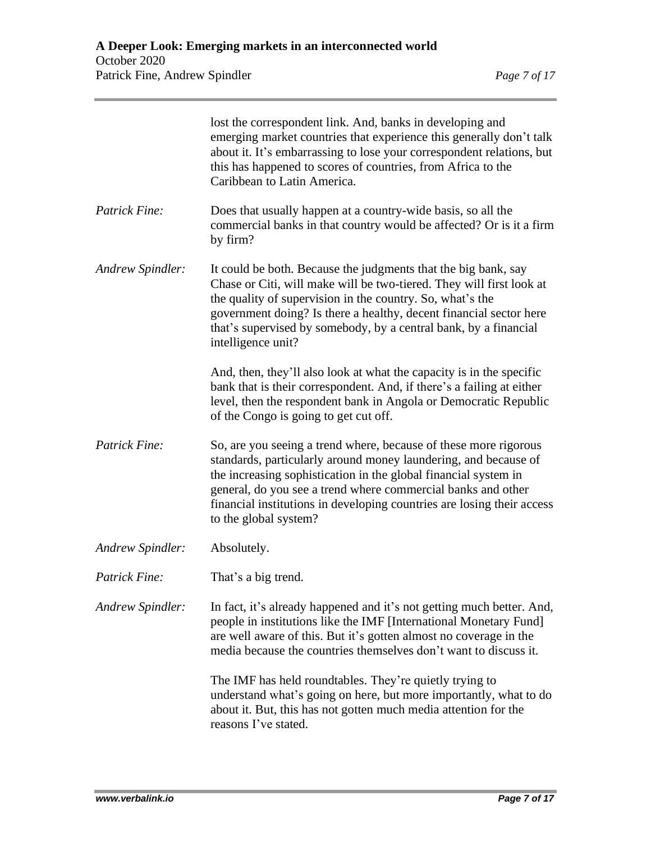|                  | lost the correspondent link. And, banks in developing and<br>emerging market countries that experience this generally don't talk<br>about it. It's embarrassing to lose your correspondent relations, but<br>this has happened to scores of countries, from Africa to the<br>Caribbean to Latin America.                                                                  |
|------------------|---------------------------------------------------------------------------------------------------------------------------------------------------------------------------------------------------------------------------------------------------------------------------------------------------------------------------------------------------------------------------|
| Patrick Fine:    | Does that usually happen at a country-wide basis, so all the<br>commercial banks in that country would be affected? Or is it a firm<br>by firm?                                                                                                                                                                                                                           |
| Andrew Spindler: | It could be both. Because the judgments that the big bank, say<br>Chase or Citi, will make will be two-tiered. They will first look at<br>the quality of supervision in the country. So, what's the<br>government doing? Is there a healthy, decent financial sector here<br>that's supervised by somebody, by a central bank, by a financial<br>intelligence unit?       |
|                  | And, then, they'll also look at what the capacity is in the specific<br>bank that is their correspondent. And, if there's a failing at either<br>level, then the respondent bank in Angola or Democratic Republic<br>of the Congo is going to get cut off.                                                                                                                |
| Patrick Fine:    | So, are you seeing a trend where, because of these more rigorous<br>standards, particularly around money laundering, and because of<br>the increasing sophistication in the global financial system in<br>general, do you see a trend where commercial banks and other<br>financial institutions in developing countries are losing their access<br>to the global system? |
| Andrew Spindler: | Absolutely.                                                                                                                                                                                                                                                                                                                                                               |
| Patrick Fine:    | That's a big trend.                                                                                                                                                                                                                                                                                                                                                       |
| Andrew Spindler: | In fact, it's already happened and it's not getting much better. And,<br>people in institutions like the IMF [International Monetary Fund]<br>are well aware of this. But it's gotten almost no coverage in the<br>media because the countries themselves don't want to discuss it.                                                                                       |
|                  | The IMF has held roundtables. They're quietly trying to<br>understand what's going on here, but more importantly, what to do<br>about it. But, this has not gotten much media attention for the<br>reasons I've stated.                                                                                                                                                   |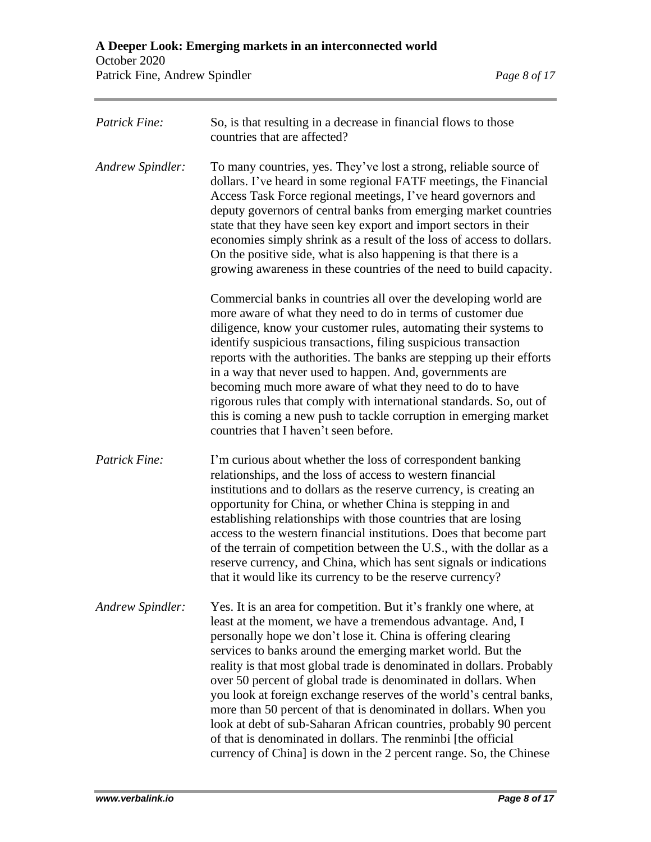| <b>Patrick Fine:</b> | So, is that resulting in a decrease in financial flows to those<br>countries that are affected?                                                                                                                                                                                                                                                                                                                                                                                                                                                                                                                                                                                                                                                                      |
|----------------------|----------------------------------------------------------------------------------------------------------------------------------------------------------------------------------------------------------------------------------------------------------------------------------------------------------------------------------------------------------------------------------------------------------------------------------------------------------------------------------------------------------------------------------------------------------------------------------------------------------------------------------------------------------------------------------------------------------------------------------------------------------------------|
| Andrew Spindler:     | To many countries, yes. They've lost a strong, reliable source of<br>dollars. I've heard in some regional FATF meetings, the Financial<br>Access Task Force regional meetings, I've heard governors and<br>deputy governors of central banks from emerging market countries<br>state that they have seen key export and import sectors in their<br>economies simply shrink as a result of the loss of access to dollars.<br>On the positive side, what is also happening is that there is a<br>growing awareness in these countries of the need to build capacity.                                                                                                                                                                                                   |
|                      | Commercial banks in countries all over the developing world are<br>more aware of what they need to do in terms of customer due<br>diligence, know your customer rules, automating their systems to<br>identify suspicious transactions, filing suspicious transaction<br>reports with the authorities. The banks are stepping up their efforts<br>in a way that never used to happen. And, governments are<br>becoming much more aware of what they need to do to have<br>rigorous rules that comply with international standards. So, out of<br>this is coming a new push to tackle corruption in emerging market<br>countries that I haven't seen before.                                                                                                          |
| <b>Patrick Fine:</b> | I'm curious about whether the loss of correspondent banking<br>relationships, and the loss of access to western financial<br>institutions and to dollars as the reserve currency, is creating an<br>opportunity for China, or whether China is stepping in and<br>establishing relationships with those countries that are losing<br>access to the western financial institutions. Does that become part<br>of the terrain of competition between the U.S., with the dollar as a<br>reserve currency, and China, which has sent signals or indications<br>that it would like its currency to be the reserve currency?                                                                                                                                                |
| Andrew Spindler:     | Yes. It is an area for competition. But it's frankly one where, at<br>least at the moment, we have a tremendous advantage. And, I<br>personally hope we don't lose it. China is offering clearing<br>services to banks around the emerging market world. But the<br>reality is that most global trade is denominated in dollars. Probably<br>over 50 percent of global trade is denominated in dollars. When<br>you look at foreign exchange reserves of the world's central banks,<br>more than 50 percent of that is denominated in dollars. When you<br>look at debt of sub-Saharan African countries, probably 90 percent<br>of that is denominated in dollars. The renminbi [the official<br>currency of China] is down in the 2 percent range. So, the Chinese |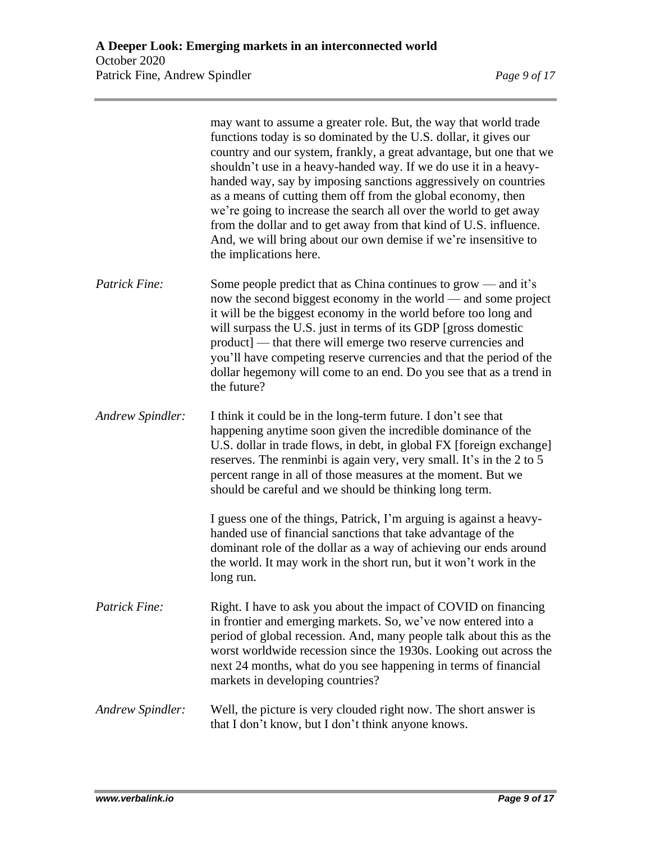|                         | may want to assume a greater role. But, the way that world trade<br>functions today is so dominated by the U.S. dollar, it gives our<br>country and our system, frankly, a great advantage, but one that we<br>shouldn't use in a heavy-handed way. If we do use it in a heavy-<br>handed way, say by imposing sanctions aggressively on countries<br>as a means of cutting them off from the global economy, then<br>we're going to increase the search all over the world to get away<br>from the dollar and to get away from that kind of U.S. influence.<br>And, we will bring about our own demise if we're insensitive to<br>the implications here. |
|-------------------------|-----------------------------------------------------------------------------------------------------------------------------------------------------------------------------------------------------------------------------------------------------------------------------------------------------------------------------------------------------------------------------------------------------------------------------------------------------------------------------------------------------------------------------------------------------------------------------------------------------------------------------------------------------------|
| Patrick Fine:           | Some people predict that as China continues to grow — and it's<br>now the second biggest economy in the world — and some project<br>it will be the biggest economy in the world before too long and<br>will surpass the U.S. just in terms of its GDP [gross domestic<br>product] — that there will emerge two reserve currencies and<br>you'll have competing reserve currencies and that the period of the<br>dollar hegemony will come to an end. Do you see that as a trend in<br>the future?                                                                                                                                                         |
| <b>Andrew Spindler:</b> | I think it could be in the long-term future. I don't see that<br>happening anytime soon given the incredible dominance of the<br>U.S. dollar in trade flows, in debt, in global FX [foreign exchange]<br>reserves. The renminbi is again very, very small. It's in the 2 to 5<br>percent range in all of those measures at the moment. But we<br>should be careful and we should be thinking long term.                                                                                                                                                                                                                                                   |
|                         | I guess one of the things, Patrick, I'm arguing is against a heavy-<br>handed use of financial sanctions that take advantage of the<br>dominant role of the dollar as a way of achieving our ends around<br>the world. It may work in the short run, but it won't work in the<br>long run.                                                                                                                                                                                                                                                                                                                                                                |
| Patrick Fine:           | Right. I have to ask you about the impact of COVID on financing<br>in frontier and emerging markets. So, we've now entered into a<br>period of global recession. And, many people talk about this as the<br>worst worldwide recession since the 1930s. Looking out across the<br>next 24 months, what do you see happening in terms of financial<br>markets in developing countries?                                                                                                                                                                                                                                                                      |
| <b>Andrew Spindler:</b> | Well, the picture is very clouded right now. The short answer is<br>that I don't know, but I don't think anyone knows.                                                                                                                                                                                                                                                                                                                                                                                                                                                                                                                                    |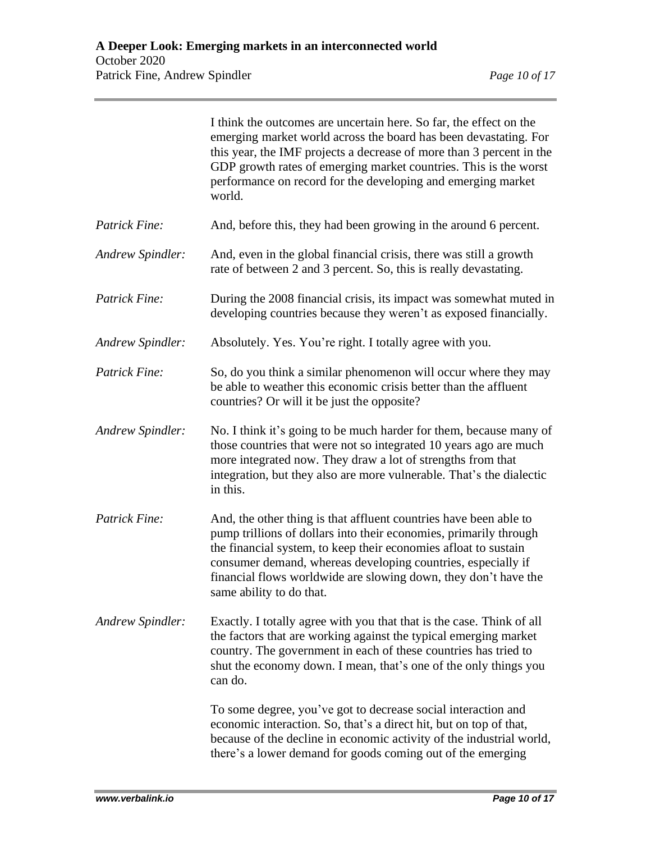|                         | I think the outcomes are uncertain here. So far, the effect on the<br>emerging market world across the board has been devastating. For<br>this year, the IMF projects a decrease of more than 3 percent in the<br>GDP growth rates of emerging market countries. This is the worst<br>performance on record for the developing and emerging market<br>world.             |
|-------------------------|--------------------------------------------------------------------------------------------------------------------------------------------------------------------------------------------------------------------------------------------------------------------------------------------------------------------------------------------------------------------------|
| Patrick Fine:           | And, before this, they had been growing in the around 6 percent.                                                                                                                                                                                                                                                                                                         |
| Andrew Spindler:        | And, even in the global financial crisis, there was still a growth<br>rate of between 2 and 3 percent. So, this is really devastating.                                                                                                                                                                                                                                   |
| Patrick Fine:           | During the 2008 financial crisis, its impact was somewhat muted in<br>developing countries because they weren't as exposed financially.                                                                                                                                                                                                                                  |
| <b>Andrew Spindler:</b> | Absolutely. Yes. You're right. I totally agree with you.                                                                                                                                                                                                                                                                                                                 |
| Patrick Fine:           | So, do you think a similar phenomenon will occur where they may<br>be able to weather this economic crisis better than the affluent<br>countries? Or will it be just the opposite?                                                                                                                                                                                       |
| Andrew Spindler:        | No. I think it's going to be much harder for them, because many of<br>those countries that were not so integrated 10 years ago are much<br>more integrated now. They draw a lot of strengths from that<br>integration, but they also are more vulnerable. That's the dialectic<br>in this.                                                                               |
| Patrick Fine:           | And, the other thing is that affluent countries have been able to<br>pump trillions of dollars into their economies, primarily through<br>the financial system, to keep their economies afloat to sustain<br>consumer demand, whereas developing countries, especially if<br>financial flows worldwide are slowing down, they don't have the<br>same ability to do that. |
| Andrew Spindler:        | Exactly. I totally agree with you that that is the case. Think of all<br>the factors that are working against the typical emerging market<br>country. The government in each of these countries has tried to<br>shut the economy down. I mean, that's one of the only things you<br>can do.                                                                              |
|                         | To some degree, you've got to decrease social interaction and<br>economic interaction. So, that's a direct hit, but on top of that,<br>because of the decline in economic activity of the industrial world,<br>there's a lower demand for goods coming out of the emerging                                                                                               |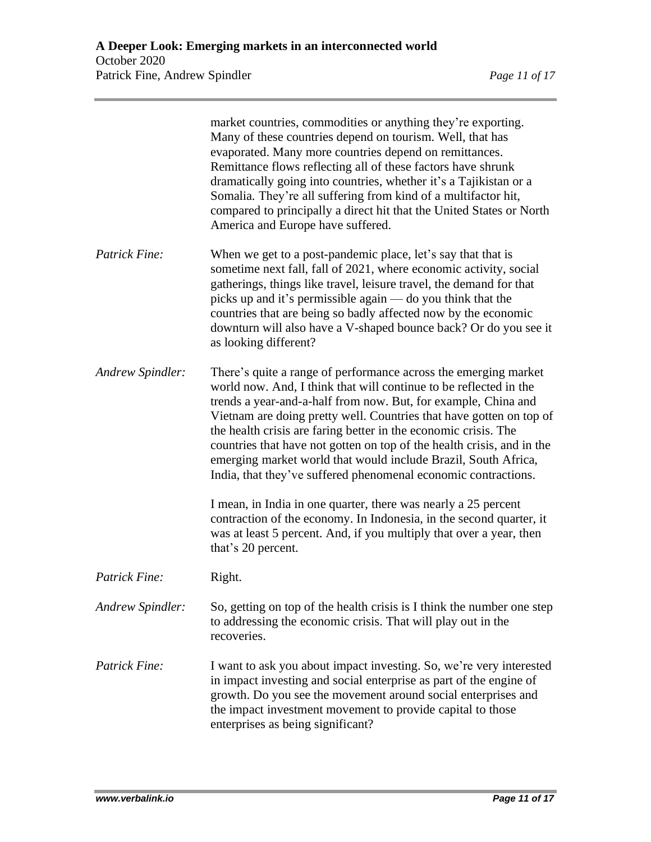|                  | market countries, commodities or anything they're exporting.<br>Many of these countries depend on tourism. Well, that has<br>evaporated. Many more countries depend on remittances.<br>Remittance flows reflecting all of these factors have shrunk<br>dramatically going into countries, whether it's a Tajikistan or a<br>Somalia. They're all suffering from kind of a multifactor hit,<br>compared to principally a direct hit that the United States or North<br>America and Europe have suffered.                                                        |
|------------------|----------------------------------------------------------------------------------------------------------------------------------------------------------------------------------------------------------------------------------------------------------------------------------------------------------------------------------------------------------------------------------------------------------------------------------------------------------------------------------------------------------------------------------------------------------------|
| Patrick Fine:    | When we get to a post-pandemic place, let's say that that is<br>sometime next fall, fall of 2021, where economic activity, social<br>gatherings, things like travel, leisure travel, the demand for that<br>picks up and it's permissible again — do you think that the<br>countries that are being so badly affected now by the economic<br>downturn will also have a V-shaped bounce back? Or do you see it<br>as looking different?                                                                                                                         |
| Andrew Spindler: | There's quite a range of performance across the emerging market<br>world now. And, I think that will continue to be reflected in the<br>trends a year-and-a-half from now. But, for example, China and<br>Vietnam are doing pretty well. Countries that have gotten on top of<br>the health crisis are faring better in the economic crisis. The<br>countries that have not gotten on top of the health crisis, and in the<br>emerging market world that would include Brazil, South Africa,<br>India, that they've suffered phenomenal economic contractions. |
|                  | I mean, in India in one quarter, there was nearly a 25 percent<br>contraction of the economy. In Indonesia, in the second quarter, it<br>was at least 5 percent. And, if you multiply that over a year, then<br>that's 20 percent.                                                                                                                                                                                                                                                                                                                             |
| Patrick Fine:    | Right.                                                                                                                                                                                                                                                                                                                                                                                                                                                                                                                                                         |
| Andrew Spindler: | So, getting on top of the health crisis is I think the number one step<br>to addressing the economic crisis. That will play out in the<br>recoveries.                                                                                                                                                                                                                                                                                                                                                                                                          |
| Patrick Fine:    | I want to ask you about impact investing. So, we're very interested<br>in impact investing and social enterprise as part of the engine of<br>growth. Do you see the movement around social enterprises and<br>the impact investment movement to provide capital to those<br>enterprises as being significant?                                                                                                                                                                                                                                                  |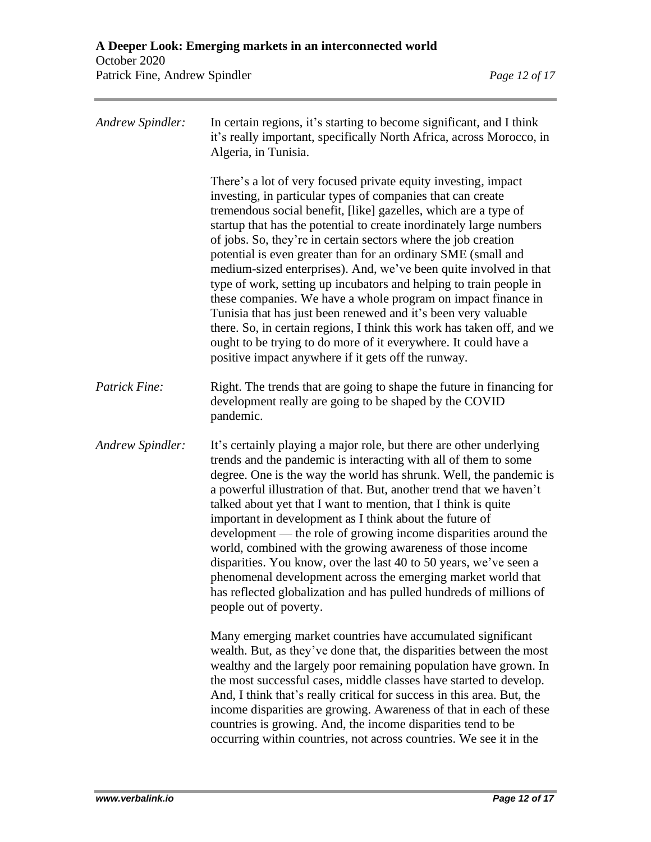| Andrew Spindler: | In certain regions, it's starting to become significant, and I think<br>it's really important, specifically North Africa, across Morocco, in<br>Algeria, in Tunisia.                                                                                                                                                                                                                                                                                                                                                                                                                                                                                                                                                                                                                                                                                                                         |
|------------------|----------------------------------------------------------------------------------------------------------------------------------------------------------------------------------------------------------------------------------------------------------------------------------------------------------------------------------------------------------------------------------------------------------------------------------------------------------------------------------------------------------------------------------------------------------------------------------------------------------------------------------------------------------------------------------------------------------------------------------------------------------------------------------------------------------------------------------------------------------------------------------------------|
|                  | There's a lot of very focused private equity investing, impact<br>investing, in particular types of companies that can create<br>tremendous social benefit, [like] gazelles, which are a type of<br>startup that has the potential to create inordinately large numbers<br>of jobs. So, they're in certain sectors where the job creation<br>potential is even greater than for an ordinary SME (small and<br>medium-sized enterprises). And, we've been quite involved in that<br>type of work, setting up incubators and helping to train people in<br>these companies. We have a whole program on impact finance in<br>Tunisia that has just been renewed and it's been very valuable<br>there. So, in certain regions, I think this work has taken off, and we<br>ought to be trying to do more of it everywhere. It could have a<br>positive impact anywhere if it gets off the runway. |
| Patrick Fine:    | Right. The trends that are going to shape the future in financing for<br>development really are going to be shaped by the COVID<br>pandemic.                                                                                                                                                                                                                                                                                                                                                                                                                                                                                                                                                                                                                                                                                                                                                 |
| Andrew Spindler: | It's certainly playing a major role, but there are other underlying<br>trends and the pandemic is interacting with all of them to some<br>degree. One is the way the world has shrunk. Well, the pandemic is<br>a powerful illustration of that. But, another trend that we haven't<br>talked about yet that I want to mention, that I think is quite<br>important in development as I think about the future of<br>development — the role of growing income disparities around the<br>world, combined with the growing awareness of those income<br>disparities. You know, over the last 40 to 50 years, we've seen a<br>phenomenal development across the emerging market world that<br>has reflected globalization and has pulled hundreds of millions of<br>people out of poverty.                                                                                                       |
|                  | Many emerging market countries have accumulated significant<br>wealth. But, as they've done that, the disparities between the most<br>wealthy and the largely poor remaining population have grown. In<br>the most successful cases, middle classes have started to develop.<br>And, I think that's really critical for success in this area. But, the<br>income disparities are growing. Awareness of that in each of these<br>countries is growing. And, the income disparities tend to be<br>occurring within countries, not across countries. We see it in the                                                                                                                                                                                                                                                                                                                           |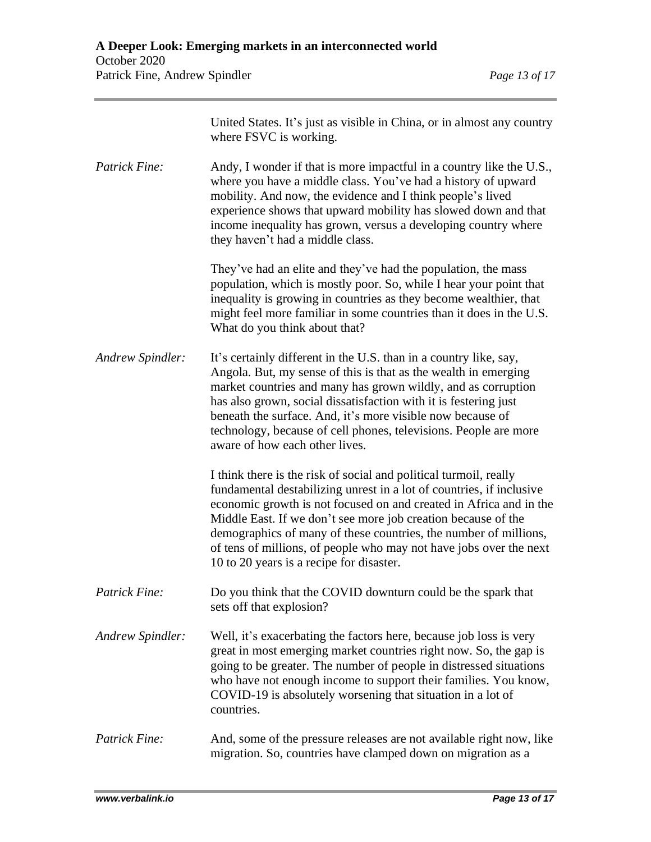|                      | United States. It's just as visible in China, or in almost any country<br>where FSVC is working.                                                                                                                                                                                                                                                                                                                                                                       |
|----------------------|------------------------------------------------------------------------------------------------------------------------------------------------------------------------------------------------------------------------------------------------------------------------------------------------------------------------------------------------------------------------------------------------------------------------------------------------------------------------|
| <b>Patrick Fine:</b> | Andy, I wonder if that is more impactful in a country like the U.S.,<br>where you have a middle class. You've had a history of upward<br>mobility. And now, the evidence and I think people's lived<br>experience shows that upward mobility has slowed down and that<br>income inequality has grown, versus a developing country where<br>they haven't had a middle class.                                                                                            |
|                      | They've had an elite and they've had the population, the mass<br>population, which is mostly poor. So, while I hear your point that<br>inequality is growing in countries as they become wealthier, that<br>might feel more familiar in some countries than it does in the U.S.<br>What do you think about that?                                                                                                                                                       |
| Andrew Spindler:     | It's certainly different in the U.S. than in a country like, say,<br>Angola. But, my sense of this is that as the wealth in emerging<br>market countries and many has grown wildly, and as corruption<br>has also grown, social dissatisfaction with it is festering just<br>beneath the surface. And, it's more visible now because of<br>technology, because of cell phones, televisions. People are more<br>aware of how each other lives.                          |
|                      | I think there is the risk of social and political turmoil, really<br>fundamental destabilizing unrest in a lot of countries, if inclusive<br>economic growth is not focused on and created in Africa and in the<br>Middle East. If we don't see more job creation because of the<br>demographics of many of these countries, the number of millions,<br>of tens of millions, of people who may not have jobs over the next<br>10 to 20 years is a recipe for disaster. |
| <b>Patrick Fine:</b> | Do you think that the COVID downturn could be the spark that<br>sets off that explosion?                                                                                                                                                                                                                                                                                                                                                                               |
| Andrew Spindler:     | Well, it's exacerbating the factors here, because job loss is very<br>great in most emerging market countries right now. So, the gap is<br>going to be greater. The number of people in distressed situations<br>who have not enough income to support their families. You know,<br>COVID-19 is absolutely worsening that situation in a lot of<br>countries.                                                                                                          |
| <b>Patrick Fine:</b> | And, some of the pressure releases are not available right now, like<br>migration. So, countries have clamped down on migration as a                                                                                                                                                                                                                                                                                                                                   |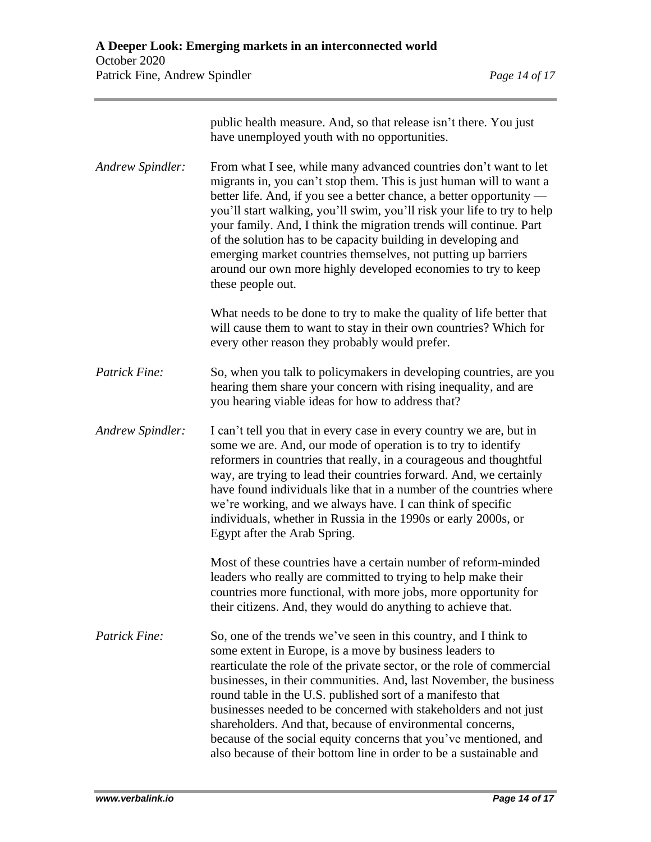|                      | public health measure. And, so that release isn't there. You just<br>have unemployed youth with no opportunities.                                                                                                                                                                                                                                                                                                                                                                                                                                                                                                     |
|----------------------|-----------------------------------------------------------------------------------------------------------------------------------------------------------------------------------------------------------------------------------------------------------------------------------------------------------------------------------------------------------------------------------------------------------------------------------------------------------------------------------------------------------------------------------------------------------------------------------------------------------------------|
| Andrew Spindler:     | From what I see, while many advanced countries don't want to let<br>migrants in, you can't stop them. This is just human will to want a<br>better life. And, if you see a better chance, a better opportunity —<br>you'll start walking, you'll swim, you'll risk your life to try to help<br>your family. And, I think the migration trends will continue. Part<br>of the solution has to be capacity building in developing and<br>emerging market countries themselves, not putting up barriers<br>around our own more highly developed economies to try to keep<br>these people out.                              |
|                      | What needs to be done to try to make the quality of life better that<br>will cause them to want to stay in their own countries? Which for<br>every other reason they probably would prefer.                                                                                                                                                                                                                                                                                                                                                                                                                           |
| Patrick Fine:        | So, when you talk to policymakers in developing countries, are you<br>hearing them share your concern with rising inequality, and are<br>you hearing viable ideas for how to address that?                                                                                                                                                                                                                                                                                                                                                                                                                            |
| Andrew Spindler:     | I can't tell you that in every case in every country we are, but in<br>some we are. And, our mode of operation is to try to identify<br>reformers in countries that really, in a courageous and thoughtful<br>way, are trying to lead their countries forward. And, we certainly<br>have found individuals like that in a number of the countries where<br>we're working, and we always have. I can think of specific<br>individuals, whether in Russia in the 1990s or early 2000s, or<br>Egypt after the Arab Spring.                                                                                               |
|                      | Most of these countries have a certain number of reform-minded<br>leaders who really are committed to trying to help make their<br>countries more functional, with more jobs, more opportunity for<br>their citizens. And, they would do anything to achieve that.                                                                                                                                                                                                                                                                                                                                                    |
| <b>Patrick Fine:</b> | So, one of the trends we've seen in this country, and I think to<br>some extent in Europe, is a move by business leaders to<br>rearticulate the role of the private sector, or the role of commercial<br>businesses, in their communities. And, last November, the business<br>round table in the U.S. published sort of a manifesto that<br>businesses needed to be concerned with stakeholders and not just<br>shareholders. And that, because of environmental concerns,<br>because of the social equity concerns that you've mentioned, and<br>also because of their bottom line in order to be a sustainable and |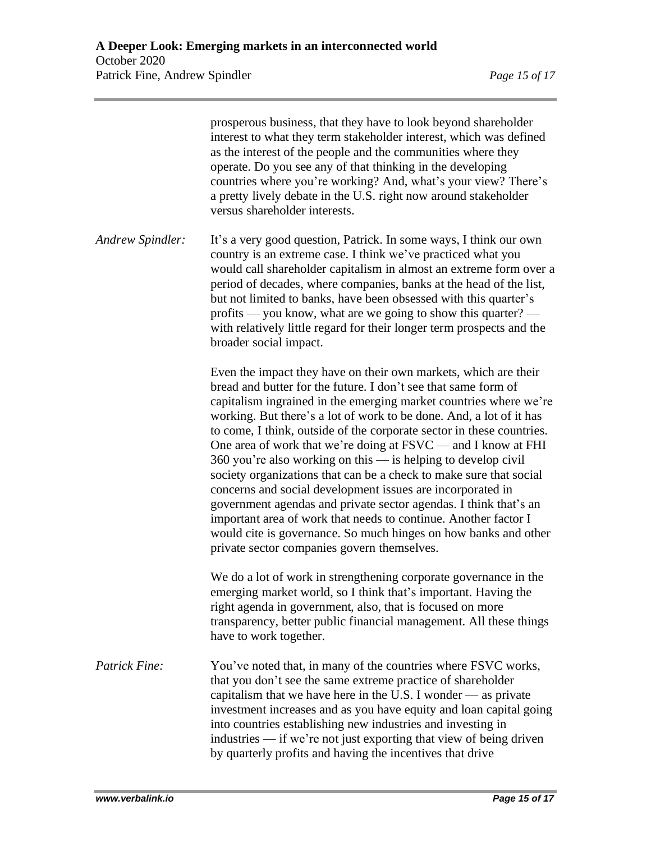|                  | prosperous business, that they have to look beyond shareholder<br>interest to what they term stakeholder interest, which was defined<br>as the interest of the people and the communities where they<br>operate. Do you see any of that thinking in the developing<br>countries where you're working? And, what's your view? There's<br>a pretty lively debate in the U.S. right now around stakeholder<br>versus shareholder interests.                                                                                                                                                                                                                                                                                                                                                                                                                                                |
|------------------|-----------------------------------------------------------------------------------------------------------------------------------------------------------------------------------------------------------------------------------------------------------------------------------------------------------------------------------------------------------------------------------------------------------------------------------------------------------------------------------------------------------------------------------------------------------------------------------------------------------------------------------------------------------------------------------------------------------------------------------------------------------------------------------------------------------------------------------------------------------------------------------------|
| Andrew Spindler: | It's a very good question, Patrick. In some ways, I think our own<br>country is an extreme case. I think we've practiced what you<br>would call shareholder capitalism in almost an extreme form over a<br>period of decades, where companies, banks at the head of the list,<br>but not limited to banks, have been obsessed with this quarter's<br>profits — you know, what are we going to show this quarter? —<br>with relatively little regard for their longer term prospects and the<br>broader social impact.                                                                                                                                                                                                                                                                                                                                                                   |
|                  | Even the impact they have on their own markets, which are their<br>bread and butter for the future. I don't see that same form of<br>capitalism ingrained in the emerging market countries where we're<br>working. But there's a lot of work to be done. And, a lot of it has<br>to come, I think, outside of the corporate sector in these countries.<br>One area of work that we're doing at FSVC - and I know at FHI<br>360 you're also working on this $-$ is helping to develop civil<br>society organizations that can be a check to make sure that social<br>concerns and social development issues are incorporated in<br>government agendas and private sector agendas. I think that's an<br>important area of work that needs to continue. Another factor I<br>would cite is governance. So much hinges on how banks and other<br>private sector companies govern themselves. |
|                  | We do a lot of work in strengthening corporate governance in the<br>emerging market world, so I think that's important. Having the<br>right agenda in government, also, that is focused on more<br>transparency, better public financial management. All these things<br>have to work together.                                                                                                                                                                                                                                                                                                                                                                                                                                                                                                                                                                                         |
| Patrick Fine:    | You've noted that, in many of the countries where FSVC works,<br>that you don't see the same extreme practice of shareholder<br>capitalism that we have here in the U.S. I wonder $-$ as private<br>investment increases and as you have equity and loan capital going<br>into countries establishing new industries and investing in<br>industries — if we're not just exporting that view of being driven<br>by quarterly profits and having the incentives that drive                                                                                                                                                                                                                                                                                                                                                                                                                |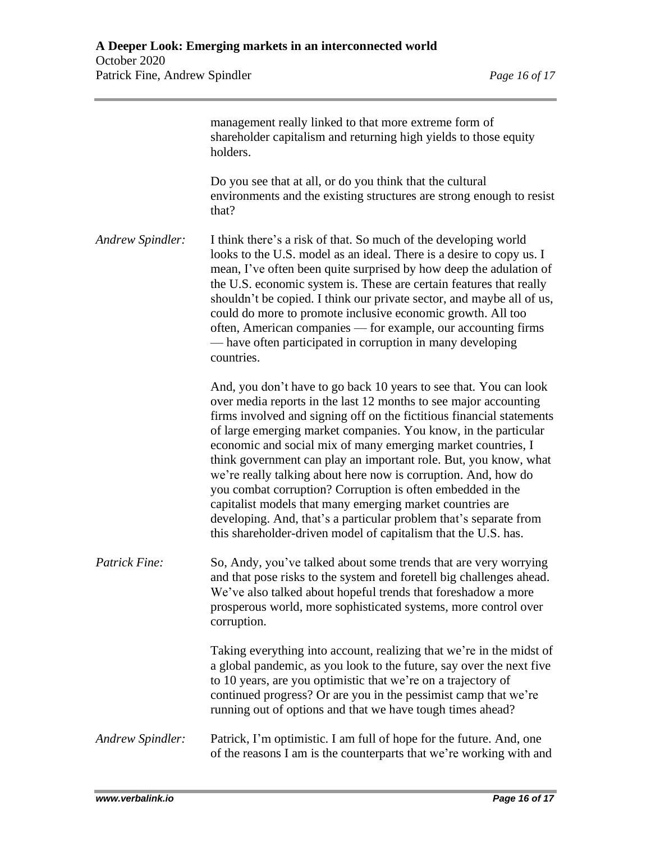|                         | management really linked to that more extreme form of<br>shareholder capitalism and returning high yields to those equity<br>holders.                                                                                                                                                                                                                                                                                                                                                                                                                                                                                                                                                                                                                     |
|-------------------------|-----------------------------------------------------------------------------------------------------------------------------------------------------------------------------------------------------------------------------------------------------------------------------------------------------------------------------------------------------------------------------------------------------------------------------------------------------------------------------------------------------------------------------------------------------------------------------------------------------------------------------------------------------------------------------------------------------------------------------------------------------------|
|                         | Do you see that at all, or do you think that the cultural<br>environments and the existing structures are strong enough to resist<br>that?                                                                                                                                                                                                                                                                                                                                                                                                                                                                                                                                                                                                                |
| Andrew Spindler:        | I think there's a risk of that. So much of the developing world<br>looks to the U.S. model as an ideal. There is a desire to copy us. I<br>mean, I've often been quite surprised by how deep the adulation of<br>the U.S. economic system is. These are certain features that really<br>shouldn't be copied. I think our private sector, and maybe all of us,<br>could do more to promote inclusive economic growth. All too<br>often, American companies — for example, our accounting firms<br>— have often participated in corruption in many developing<br>countries.                                                                                                                                                                                 |
|                         | And, you don't have to go back 10 years to see that. You can look<br>over media reports in the last 12 months to see major accounting<br>firms involved and signing off on the fictitious financial statements<br>of large emerging market companies. You know, in the particular<br>economic and social mix of many emerging market countries, I<br>think government can play an important role. But, you know, what<br>we're really talking about here now is corruption. And, how do<br>you combat corruption? Corruption is often embedded in the<br>capitalist models that many emerging market countries are<br>developing. And, that's a particular problem that's separate from<br>this shareholder-driven model of capitalism that the U.S. has. |
| <b>Patrick Fine:</b>    | So, Andy, you've talked about some trends that are very worrying<br>and that pose risks to the system and foretell big challenges ahead.<br>We've also talked about hopeful trends that foreshadow a more<br>prosperous world, more sophisticated systems, more control over<br>corruption.                                                                                                                                                                                                                                                                                                                                                                                                                                                               |
|                         | Taking everything into account, realizing that we're in the midst of<br>a global pandemic, as you look to the future, say over the next five<br>to 10 years, are you optimistic that we're on a trajectory of<br>continued progress? Or are you in the pessimist camp that we're<br>running out of options and that we have tough times ahead?                                                                                                                                                                                                                                                                                                                                                                                                            |
| <b>Andrew Spindler:</b> | Patrick, I'm optimistic. I am full of hope for the future. And, one<br>of the reasons I am is the counterparts that we're working with and                                                                                                                                                                                                                                                                                                                                                                                                                                                                                                                                                                                                                |